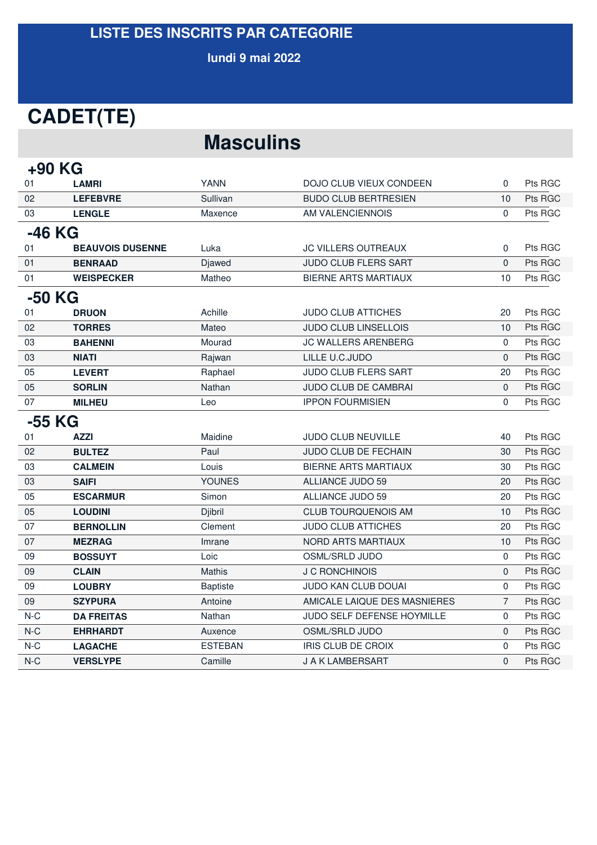#### **LISTE DES INSCRITS PAR CATEGORIE**

**lundi 9 mai 2022**

## **CADET(TE)**

| +90 KG |                         |                 |                                   |                |         |  |
|--------|-------------------------|-----------------|-----------------------------------|----------------|---------|--|
| 01     | <b>LAMRI</b>            | <b>YANN</b>     | DOJO CLUB VIEUX CONDEEN           | $\mathbf{0}$   | Pts RGC |  |
| 02     | <b>LEFEBVRE</b>         | Sullivan        | <b>BUDO CLUB BERTRESIEN</b>       | 10             | Pts RGC |  |
| 03     | <b>LENGLE</b>           | Maxence         | AM VALENCIENNOIS                  | $\Omega$       | Pts RGC |  |
| -46 KG |                         |                 |                                   |                |         |  |
| 01     | <b>BEAUVOIS DUSENNE</b> | Luka            | <b>JC VILLERS OUTREAUX</b>        | 0              | Pts RGC |  |
| 01     | <b>BENRAAD</b>          | Djawed          | <b>JUDO CLUB FLERS SART</b>       | $\Omega$       | Pts RGC |  |
| 01     | <b>WEISPECKER</b>       | Matheo          | <b>BIERNE ARTS MARTIAUX</b>       | 10             | Pts RGC |  |
| -50 KG |                         |                 |                                   |                |         |  |
| 01     | <b>DRUON</b>            | Achille         | <b>JUDO CLUB ATTICHES</b>         | 20             | Pts RGC |  |
| 02     | <b>TORRES</b>           | Mateo           | <b>JUDO CLUB LINSELLOIS</b>       | 10             | Pts RGC |  |
| 03     | <b>BAHENNI</b>          | Mourad          | <b>JC WALLERS ARENBERG</b>        | $\mathbf{0}$   | Pts RGC |  |
| 03     | <b>NIATI</b>            | Rajwan          | LILLE U.C.JUDO                    | $\mathbf 0$    | Pts RGC |  |
| 05     | <b>LEVERT</b>           | Raphael         | <b>JUDO CLUB FLERS SART</b>       | 20             | Pts RGC |  |
| 05     | <b>SORLIN</b>           | Nathan          | <b>JUDO CLUB DE CAMBRAI</b>       | $\mathbf{0}$   | Pts RGC |  |
| 07     | <b>MILHEU</b>           | Leo             | <b>IPPON FOURMISIEN</b>           | 0              | Pts RGC |  |
| -55 KG |                         |                 |                                   |                |         |  |
| 01     | <b>AZZI</b>             | Maidine         | JUDO CLUB NEUVILLE                | 40             | Pts RGC |  |
| 02     | <b>BULTEZ</b>           | Paul            | JUDO CLUB DE FECHAIN              | 30             | Pts RGC |  |
| 03     | <b>CALMEIN</b>          | Louis           | <b>BIERNE ARTS MARTIAUX</b>       | 30             | Pts RGC |  |
| 03     | <b>SAIFI</b>            | <b>YOUNES</b>   | ALLIANCE JUDO 59                  | 20             | Pts RGC |  |
| 05     | <b>ESCARMUR</b>         | Simon           | <b>ALLIANCE JUDO 59</b>           | 20             | Pts RGC |  |
| 05     | <b>LOUDINI</b>          | Djibril         | <b>CLUB TOURQUENOIS AM</b>        | 10             | Pts RGC |  |
| 07     | <b>BERNOLLIN</b>        | Clement         | <b>JUDO CLUB ATTICHES</b>         | 20             | Pts RGC |  |
| 07     | <b>MEZRAG</b>           | Imrane          | NORD ARTS MARTIAUX                | 10             | Pts RGC |  |
| 09     | <b>BOSSUYT</b>          | Loic            | OSML/SRLD JUDO                    | $\mathbf{0}$   | Pts RGC |  |
| 09     | <b>CLAIN</b>            | <b>Mathis</b>   | <b>J C RONCHINOIS</b>             | $\mathbf{0}$   | Pts RGC |  |
| 09     | <b>LOUBRY</b>           | <b>Baptiste</b> | <b>JUDO KAN CLUB DOUAI</b>        | 0              | Pts RGC |  |
| 09     | <b>SZYPURA</b>          | Antoine         | AMICALE LAIQUE DES MASNIERES      | $\overline{7}$ | Pts RGC |  |
| $N-C$  | <b>DA FREITAS</b>       | Nathan          | <b>JUDO SELF DEFENSE HOYMILLE</b> | $\mathbf{0}$   | Pts RGC |  |
| $N-C$  | <b>EHRHARDT</b>         | Auxence         | <b>OSML/SRLD JUDO</b>             | $\mathbf{0}$   | Pts RGC |  |
| $N-C$  | <b>LAGACHE</b>          | <b>ESTEBAN</b>  | IRIS CLUB DE CROIX                | 0              | Pts RGC |  |
| $N-C$  | <b>VERSLYPE</b>         | Camille         | J A K LAMBERSART                  | $\mathbf 0$    | Pts RGC |  |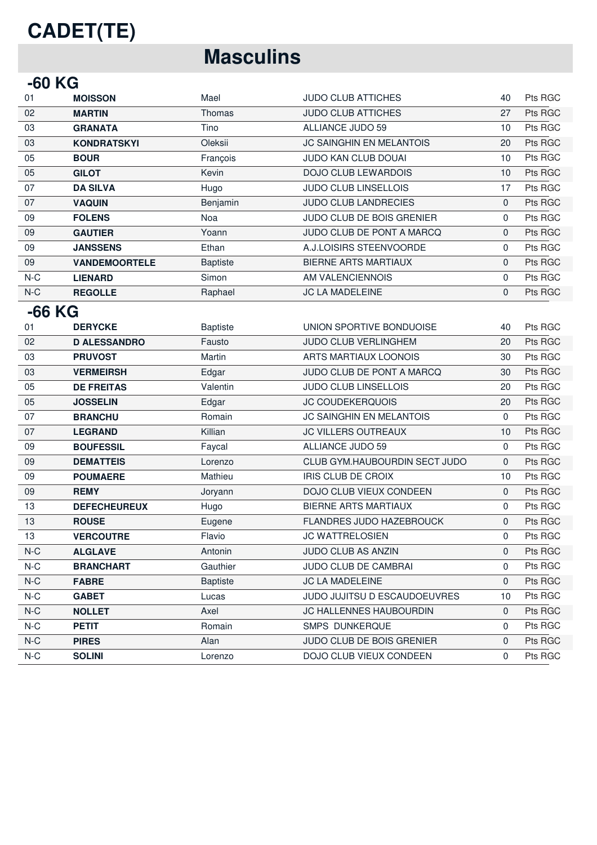# **CADET(TE)**

| -60 KG |                      |                 |                                 |             |         |
|--------|----------------------|-----------------|---------------------------------|-------------|---------|
| 01     | <b>MOISSON</b>       | Mael            | <b>JUDO CLUB ATTICHES</b>       | 40          | Pts RGC |
| 02     | <b>MARTIN</b>        | Thomas          | <b>JUDO CLUB ATTICHES</b>       | 27          | Pts RGC |
| 03     | <b>GRANATA</b>       | Tino            | <b>ALLIANCE JUDO 59</b>         | 10          | Pts RGC |
| 03     | <b>KONDRATSKYI</b>   | Oleksii         | <b>JC SAINGHIN EN MELANTOIS</b> | 20          | Pts RGC |
| 05     | <b>BOUR</b>          | François        | JUDO KAN CLUB DOUAI             | 10          | Pts RGC |
| 05     | <b>GILOT</b>         | Kevin           | <b>DOJO CLUB LEWARDOIS</b>      | 10          | Pts RGC |
| 07     | <b>DA SILVA</b>      | Hugo            | JUDO CLUB LINSELLOIS            | 17          | Pts RGC |
| 07     | <b>VAQUIN</b>        | Benjamin        | <b>JUDO CLUB LANDRECIES</b>     | $\Omega$    | Pts RGC |
| 09     | <b>FOLENS</b>        | Noa             | JUDO CLUB DE BOIS GRENIER       | $\Omega$    | Pts RGC |
| 09     | <b>GAUTIER</b>       | Yoann           | JUDO CLUB DE PONT A MARCQ       | $\Omega$    | Pts RGC |
| 09     | <b>JANSSENS</b>      | Ethan           | A.J.LOISIRS STEENVOORDE         | $\Omega$    | Pts RGC |
| 09     | <b>VANDEMOORTELE</b> | <b>Baptiste</b> | <b>BIERNE ARTS MARTIAUX</b>     | $\Omega$    | Pts RGC |
| $N-C$  | <b>LIENARD</b>       | Simon           | AM VALENCIENNOIS                | $\Omega$    | Pts RGC |
| $N-C$  | <b>REGOLLE</b>       | Raphael         | JC LA MADELEINE                 | $\Omega$    | Pts RGC |
| -66 KG |                      |                 |                                 |             |         |
| 01     | <b>DERYCKE</b>       | <b>Baptiste</b> | UNION SPORTIVE BONDUOISE        | 40          | Pts RGC |
| 02     | <b>D ALESSANDRO</b>  | Fausto          | <b>JUDO CLUB VERLINGHEM</b>     | 20          | Pts RGC |
| 03     | <b>PRUVOST</b>       | Martin          | <b>ARTS MARTIAUX LOONOIS</b>    | 30          | Pts RGC |
| 03     | <b>VERMEIRSH</b>     | Edgar           | JUDO CLUB DE PONT A MARCQ       | 30          | Pts RGC |
| 05     | <b>DE FREITAS</b>    | Valentin        | JUDO CLUB LINSELLOIS            | 20          | Pts RGC |
| 05     | <b>JOSSELIN</b>      | Edgar           | <b>JC COUDEKERQUOIS</b>         | 20          | Pts RGC |
| 07     | <b>BRANCHU</b>       | Romain          | JC SAINGHIN EN MELANTOIS        | $\Omega$    | Pts RGC |
| 07     | <b>LEGRAND</b>       | Killian         | <b>JC VILLERS OUTREAUX</b>      | 10          | Pts RGC |
| 09     | <b>BOUFESSIL</b>     | Faycal          | <b>ALLIANCE JUDO 59</b>         | $\Omega$    | Pts RGC |
| 09     | <b>DEMATTEIS</b>     | Lorenzo         | CLUB GYM.HAUBOURDIN SECT JUDO   | 0           | Pts RGC |
| 09     | <b>POUMAERE</b>      | Mathieu         | IRIS CLUB DE CROIX              | 10          | Pts RGC |
| 09     | <b>REMY</b>          | Joryann         | DOJO CLUB VIEUX CONDEEN         | $\Omega$    | Pts RGC |
| 13     | <b>DEFECHEUREUX</b>  | Hugo            | <b>BIERNE ARTS MARTIAUX</b>     | 0           | Pts RGC |
| 13     | <b>ROUSE</b>         | Eugene          | FLANDRES JUDO HAZEBROUCK        | 0           | Pts RGC |
| 13     | <b>VERCOUTRE</b>     | Flavio          | <b>JC WATTRELOSIEN</b>          | 0           | Pts RGC |
| $N-C$  | <b>ALGLAVE</b>       | Antonin         | JUDO CLUB AS ANZIN              | 0           | Pts RGC |
| $N-C$  | <b>BRANCHART</b>     | Gauthier        | JUDO CLUB DE CAMBRAI            | 0           | Pts RGC |
| $N-C$  | <b>FABRE</b>         | <b>Baptiste</b> | JC LA MADELEINE                 | 0           | Pts RGC |
| $N-C$  | <b>GABET</b>         | Lucas           | JUDO JUJITSU D ESCAUDOEUVRES    | 10          | Pts RGC |
| $N-C$  | <b>NOLLET</b>        | Axel            | JC HALLENNES HAUBOURDIN         | 0           | Pts RGC |
| $N-C$  | <b>PETIT</b>         | Romain          | <b>SMPS DUNKERQUE</b>           | 0           | Pts RGC |
| $N-C$  | <b>PIRES</b>         | Alan            | JUDO CLUB DE BOIS GRENIER       | 0           | Pts RGC |
| $N-C$  | <b>SOLINI</b>        | Lorenzo         | DOJO CLUB VIEUX CONDEEN         | $\mathbf 0$ | Pts RGC |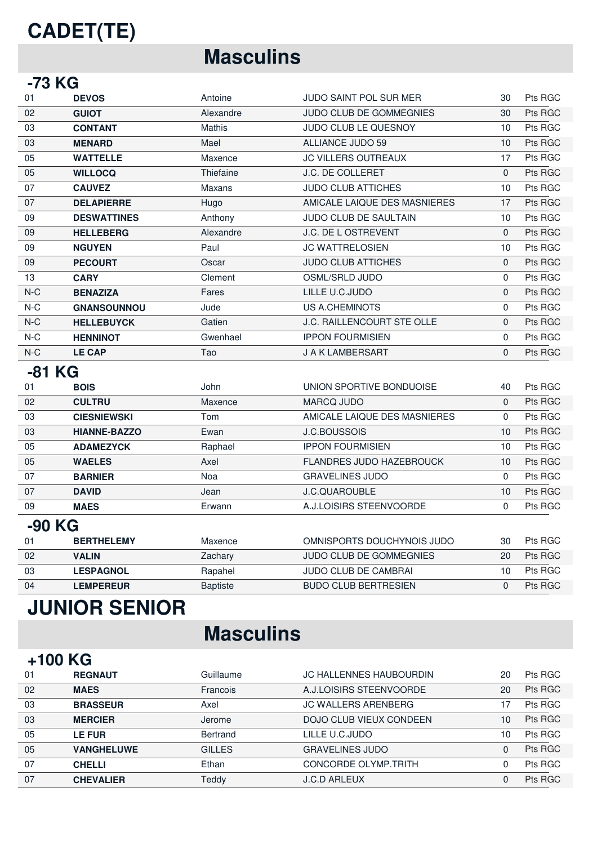# **CADET(TE)**

## **Masculins**

| -73 KG |                     |                 |                                 |              |         |  |
|--------|---------------------|-----------------|---------------------------------|--------------|---------|--|
| 01     | <b>DEVOS</b>        | Antoine         | JUDO SAINT POL SUR MER          | 30           | Pts RGC |  |
| 02     | <b>GUIOT</b>        | Alexandre       | JUDO CLUB DE GOMMEGNIES         | 30           | Pts RGC |  |
| 03     | <b>CONTANT</b>      | Mathis          | JUDO CLUB LE QUESNOY            | 10           | Pts RGC |  |
| 03     | <b>MENARD</b>       | Mael            | ALLIANCE JUDO 59                | 10           | Pts RGC |  |
| 05     | <b>WATTELLE</b>     | Maxence         | <b>JC VILLERS OUTREAUX</b>      | 17           | Pts RGC |  |
| 05     | <b>WILLOCQ</b>      | Thiefaine       | J.C. DE COLLERET                | $\mathbf{0}$ | Pts RGC |  |
| 07     | <b>CAUVEZ</b>       | Maxans          | <b>JUDO CLUB ATTICHES</b>       | 10           | Pts RGC |  |
| 07     | <b>DELAPIERRE</b>   | Hugo            | AMICALE LAIQUE DES MASNIERES    | 17           | Pts RGC |  |
| 09     | <b>DESWATTINES</b>  | Anthony         | JUDO CLUB DE SAULTAIN           | 10           | Pts RGC |  |
| 09     | <b>HELLEBERG</b>    | Alexandre       | J.C. DE L OSTREVENT             | $\mathbf{0}$ | Pts RGC |  |
| 09     | <b>NGUYEN</b>       | Paul            | <b>JC WATTRELOSIEN</b>          | 10           | Pts RGC |  |
| 09     | <b>PECOURT</b>      | Oscar           | <b>JUDO CLUB ATTICHES</b>       | $\mathbf{0}$ | Pts RGC |  |
| 13     | <b>CARY</b>         | Clement         | OSML/SRLD JUDO                  | 0            | Pts RGC |  |
| $N-C$  | <b>BENAZIZA</b>     | Fares           | LILLE U.C.JUDO                  | $\mathbf{0}$ | Pts RGC |  |
| $N-C$  | <b>GNANSOUNNOU</b>  | Jude            | <b>US A.CHEMINOTS</b>           | 0            | Pts RGC |  |
| N-C    | <b>HELLEBUYCK</b>   | Gatien          | J.C. RAILLENCOURT STE OLLE      | $\mathbf{0}$ | Pts RGC |  |
| $N-C$  | <b>HENNINOT</b>     | Gwenhael        | <b>IPPON FOURMISIEN</b>         | 0            | Pts RGC |  |
| N-C    | <b>LE CAP</b>       | Tao             | J A K LAMBERSART                | $\mathbf{0}$ | Pts RGC |  |
| -81 KG |                     |                 |                                 |              |         |  |
| 01     | <b>BOIS</b>         | John            | UNION SPORTIVE BONDUOISE        | 40           | Pts RGC |  |
| 02     | <b>CULTRU</b>       | Maxence         | <b>MARCQ JUDO</b>               | $\mathbf{0}$ | Pts RGC |  |
| 03     | <b>CIESNIEWSKI</b>  | Tom             | AMICALE LAIQUE DES MASNIERES    | $\Omega$     | Pts RGC |  |
| 03     | <b>HIANNE-BAZZO</b> | Ewan            | <b>J.C.BOUSSOIS</b>             | 10           | Pts RGC |  |
| 05     | <b>ADAMEZYCK</b>    | Raphael         | <b>IPPON FOURMISIEN</b>         | 10           | Pts RGC |  |
| 05     | <b>WAELES</b>       | Axel            | <b>FLANDRES JUDO HAZEBROUCK</b> | 10           | Pts RGC |  |
| 07     | <b>BARNIER</b>      | <b>Noa</b>      | <b>GRAVELINES JUDO</b>          | 0            | Pts RGC |  |
| 07     | <b>DAVID</b>        | Jean            | <b>J.C.QUAROUBLE</b>            | 10           | Pts RGC |  |
| 09     | <b>MAES</b>         | Erwann          | A.J.LOISIRS STEENVOORDE         | $\mathbf{0}$ | Pts RGC |  |
| -90 KG |                     |                 |                                 |              |         |  |
| 01     | <b>BERTHELEMY</b>   | Maxence         | OMNISPORTS DOUCHYNOIS JUDO      | 30           | Pts RGC |  |
| 02     | <b>VALIN</b>        | Zachary         | JUDO CLUB DE GOMMEGNIES         | 20           | Pts RGC |  |
| 03     | <b>LESPAGNOL</b>    | Rapahel         | JUDO CLUB DE CAMBRAI            | 10           | Pts RGC |  |
| 04     | <b>LEMPEREUR</b>    | <b>Baptiste</b> | <b>BUDO CLUB BERTRESIEN</b>     | $\mathbf{0}$ | Pts RGC |  |
|        |                     |                 |                                 |              |         |  |

#### **JUNIOR SENIOR**

## **Masculins**

#### +100 KG

| 01 | <b>REGNAUT</b>           | Guillaume       | <b>JC HALLENNES HAUBOURDIN</b> | 20 | Pts RGC |
|----|--------------------------|-----------------|--------------------------------|----|---------|
| 02 | <b>MAES</b>              | <b>Francois</b> | A.J.LOISIRS STEENVOORDE        | 20 | Pts RGC |
| 03 | <b>BRASSEUR</b>          | Axel            | <b>JC WALLERS ARENBERG</b>     | 17 | Pts RGC |
| 03 | <b>MERCIER</b>           | Jerome          | DOJO CLUB VIEUX CONDEEN        | 10 | Pts RGC |
| 05 | <b>LE FUR</b>            | Bertrand        | LILLE U.C.JUDO                 | 10 | Pts RGC |
| 05 | <b><i>VANGHELUWE</i></b> | <b>GILLES</b>   | <b>GRAVELINES JUDO</b>         |    | Pts RGC |
| 07 | <b>CHELLI</b>            | Ethan           | CONCORDE OLYMP.TRITH           |    | Pts RGC |
| 07 | <b>CHEVALIER</b>         | Teddy           | <b>J.C.D ARLEUX</b>            |    | Pts RGC |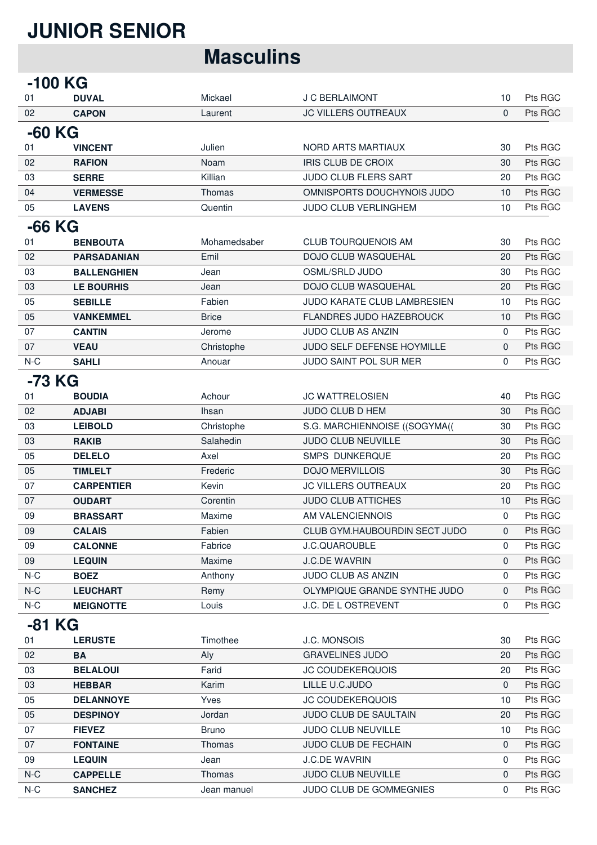# **JUNIOR SENIOR**

|          | -100 KG                          |                         |                                                    |              |         |  |  |  |
|----------|----------------------------------|-------------------------|----------------------------------------------------|--------------|---------|--|--|--|
| 01       | <b>DUVAL</b>                     | Mickael                 | J C BERLAIMONT                                     | 10           | Pts RGC |  |  |  |
| 02       | <b>CAPON</b>                     | Laurent                 | <b>JC VILLERS OUTREAUX</b>                         | $\mathbf{0}$ | Pts RGC |  |  |  |
|          | -60 KG                           |                         |                                                    |              |         |  |  |  |
| 01       | <b>VINCENT</b>                   | Julien                  | NORD ARTS MARTIAUX                                 | 30           | Pts RGC |  |  |  |
| 02       | <b>RAFION</b>                    | Noam                    | <b>IRIS CLUB DE CROIX</b>                          | 30           | Pts RGC |  |  |  |
| 03       | <b>SERRE</b>                     | Killian                 | JUDO CLUB FLERS SART                               | 20           | Pts RGC |  |  |  |
| 04       | <b>VERMESSE</b>                  | Thomas                  | OMNISPORTS DOUCHYNOIS JUDO                         | 10           | Pts RGC |  |  |  |
| 05       | <b>LAVENS</b>                    | Quentin                 | JUDO CLUB VERLINGHEM                               | 10           | Pts RGC |  |  |  |
| -66 KG   |                                  |                         |                                                    |              |         |  |  |  |
| 01       | <b>BENBOUTA</b>                  | Mohamedsaber            | <b>CLUB TOURQUENOIS AM</b>                         | 30           | Pts RGC |  |  |  |
| 02       | <b>PARSADANIAN</b>               | Emil                    | DOJO CLUB WASQUEHAL                                | 20           | Pts RGC |  |  |  |
| 03       | <b>BALLENGHIEN</b>               | Jean                    | OSML/SRLD JUDO                                     | 30           | Pts RGC |  |  |  |
| 03       | <b>LE BOURHIS</b>                | Jean                    | DOJO CLUB WASQUEHAL                                | 20           | Pts RGC |  |  |  |
| 05       | <b>SEBILLE</b>                   | Fabien                  | JUDO KARATE CLUB LAMBRESIEN                        | 10           | Pts RGC |  |  |  |
| 05       | <b>VANKEMMEL</b>                 | <b>Brice</b>            | FLANDRES JUDO HAZEBROUCK                           | 10           | Pts RGC |  |  |  |
| 07       | <b>CANTIN</b>                    | Jerome                  | JUDO CLUB AS ANZIN                                 | 0            | Pts RGC |  |  |  |
| 07       | <b>VEAU</b>                      | Christophe              | JUDO SELF DEFENSE HOYMILLE                         | $\mathbf 0$  | Pts RGC |  |  |  |
| $N-C$    | <b>SAHLI</b>                     | Anouar                  | JUDO SAINT POL SUR MER                             | 0            | Pts RGC |  |  |  |
| -73 KG   |                                  |                         |                                                    |              |         |  |  |  |
| 01       |                                  | Achour                  | <b>JC WATTRELOSIEN</b>                             | 40           | Pts RGC |  |  |  |
| 02       | <b>BOUDIA</b><br><b>ADJABI</b>   | <b>Ihsan</b>            | JUDO CLUB D HEM                                    | 30           | Pts RGC |  |  |  |
|          |                                  |                         |                                                    |              | Pts RGC |  |  |  |
| 03       | <b>LEIBOLD</b>                   | Christophe<br>Salahedin | S.G. MARCHIENNOISE ((SOGYMA)<br>JUDO CLUB NEUVILLE | 30<br>30     | Pts RGC |  |  |  |
| 03       | <b>RAKIB</b>                     | Axel                    |                                                    | 20           | Pts RGC |  |  |  |
| 05<br>05 | <b>DELELO</b>                    | Frederic                | <b>SMPS DUNKERQUE</b><br><b>DOJO MERVILLOIS</b>    | 30           | Pts RGC |  |  |  |
| 07       | <b>TIMLELT</b>                   |                         | <b>JC VILLERS OUTREAUX</b>                         | 20           | Pts RGC |  |  |  |
| 07       | <b>CARPENTIER</b>                | Kevin<br>Corentin       | <b>JUDO CLUB ATTICHES</b>                          | 10           | Pts RGC |  |  |  |
|          | <b>OUDART</b>                    |                         | AM VALENCIENNOIS                                   | $\mathbf{0}$ | Pts RGC |  |  |  |
| 09<br>09 | <b>BRASSART</b><br><b>CALAIS</b> | Maxime<br>Fabien        | CLUB GYM.HAUBOURDIN SECT JUDO                      | 0            | Pts RGC |  |  |  |
| 09       | <b>CALONNE</b>                   | Fabrice                 | J.C.QUAROUBLE                                      | 0            | Pts RGC |  |  |  |
| 09       | <b>LEQUIN</b>                    | Maxime                  | <b>J.C.DE WAVRIN</b>                               | $\mathbf 0$  | Pts RGC |  |  |  |
| $N-C$    |                                  | Anthony                 | JUDO CLUB AS ANZIN                                 | $\mathbf{0}$ | Pts RGC |  |  |  |
| $N-C$    | <b>BOEZ</b><br><b>LEUCHART</b>   | Remy                    | OLYMPIQUE GRANDE SYNTHE JUDO                       | 0            | Pts RGC |  |  |  |
| $N-C$    | <b>MEIGNOTTE</b>                 | Louis                   | J.C. DE L OSTREVENT                                | 0            | Pts RGC |  |  |  |
|          |                                  |                         |                                                    |              |         |  |  |  |
| -81 KG   |                                  |                         |                                                    |              |         |  |  |  |
| 01       | <b>LERUSTE</b>                   | Timothee                | J.C. MONSOIS                                       | 30           | Pts RGC |  |  |  |
| 02       | <b>BA</b>                        | Aly                     | <b>GRAVELINES JUDO</b>                             | 20           | Pts RGC |  |  |  |
| 03       | <b>BELALOUI</b>                  | Farid                   | <b>JC COUDEKERQUOIS</b>                            | 20           | Pts RGC |  |  |  |
| 03       | <b>HEBBAR</b>                    | Karim                   | LILLE U.C.JUDO                                     | $\mathbf{0}$ | Pts RGC |  |  |  |
| 05       | <b>DELANNOYE</b>                 | Yves                    | <b>JC COUDEKERQUOIS</b>                            | 10           | Pts RGC |  |  |  |
| 05       | <b>DESPINOY</b>                  | Jordan                  | <b>JUDO CLUB DE SAULTAIN</b>                       | 20           | Pts RGC |  |  |  |
| 07       | <b>FIEVEZ</b>                    | <b>Bruno</b>            | JUDO CLUB NEUVILLE                                 | 10           | Pts RGC |  |  |  |
| 07       | <b>FONTAINE</b>                  | Thomas                  | JUDO CLUB DE FECHAIN                               | $\mathbf{0}$ | Pts RGC |  |  |  |
| 09       | <b>LEQUIN</b>                    | Jean                    | <b>J.C.DE WAVRIN</b>                               | 0            | Pts RGC |  |  |  |
| $N-C$    | <b>CAPPELLE</b>                  | Thomas                  | JUDO CLUB NEUVILLE                                 | $\mathbf{0}$ | Pts RGC |  |  |  |
| $N-C$    | <b>SANCHEZ</b>                   | Jean manuel             | JUDO CLUB DE GOMMEGNIES                            | 0            | Pts RGC |  |  |  |